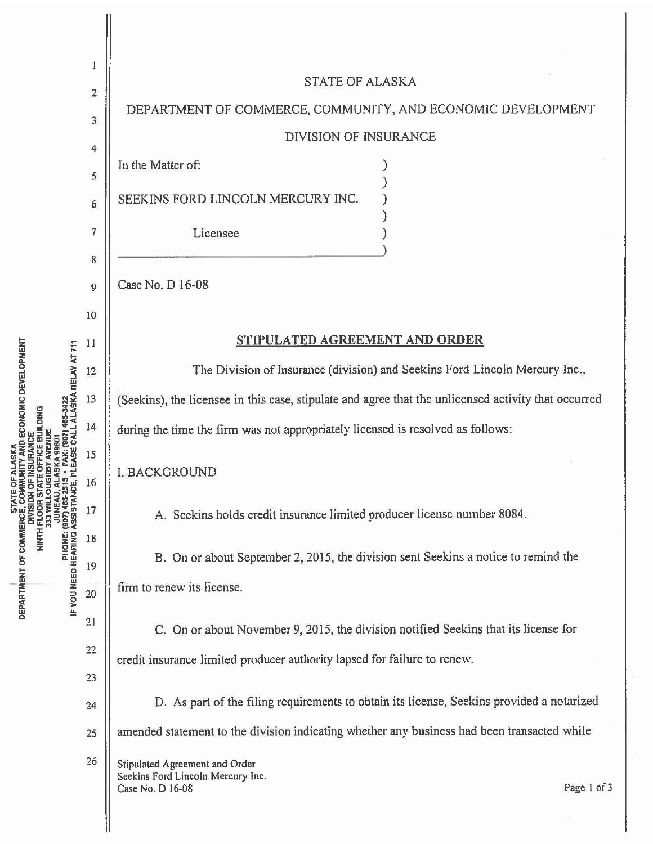

**DEPARTMENT OF COMMERCE, COMMUNITY AND ECONOMIC DEVELOPMENT**<br>DEPARTMENT OF COMMERCE, COMMUNITY AND ECONOMIC DEVELOPMENT<br>NINTH FILVISION OF INSURANCE<br>NINTH FILVISION STATE OF THE AVENUE **ALASKA** 533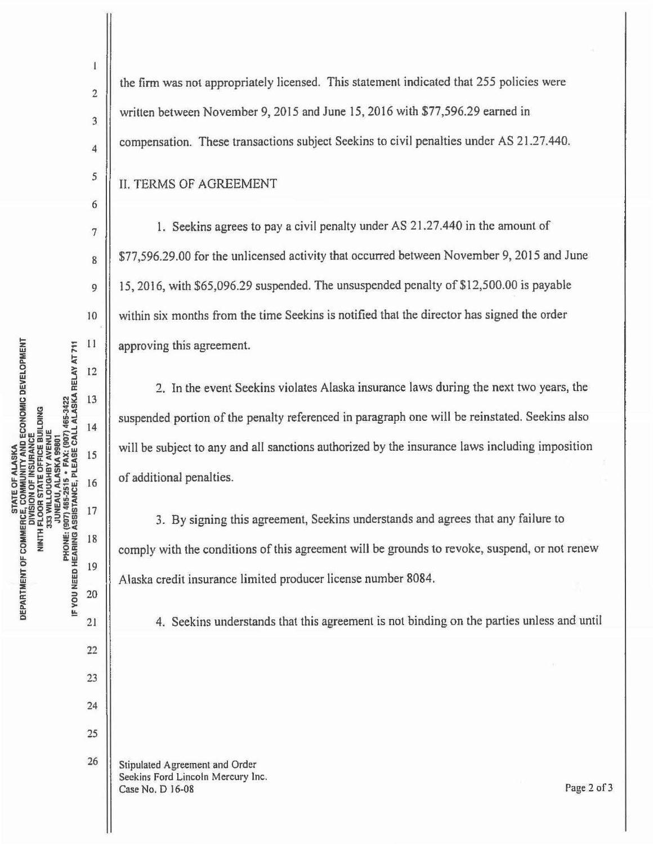the firm was not appropriately licensed. This statement indicated that 255 policies were written between November 9, 2015 and June 15, 2016 with \$77,596.29 earned in compensation. These transactions subject Seekins to civil penalties under AS 21.27.440.

## II. TERMS OF AGREEMENT

2

 $\mathbf{I}$ 

3

4

*5* 

6

7

8

9

JO

 $11$ 

12

13

 $14$ 

15

16

17

 $18\,$ 

19

20

 $21$ 

22

23

24

25

26

1. Seekins agrees to pay a civil penalty under AS 21.27.440 in the amount of \$77,596.29.00 for the unlicensed activity that occurred between November 9, 2015 and June 15, 2016, with \$65,096.29 suspended. The unsuspended penalty of \$12,500.00 is payable within six months from the time Seekins is notified that the director has signed the order approving this agreement.

2. In the event Seekins violates Alaska insurance laws during the next two years, the suspended portion of the penalty referenced in paragraph one will be reinstated. Seekins also will be subject to any and all sanctions authorized by the insurance laws including imposition of additional penalties.

3. By signing this agreement, Seekins understands and agrees that any failure to comply with the conditions of this agreement will be grounds to revoke, suspend, or not renew Alaska credit insurance limited producer license number 8084.

4. Seekins understands that this agreement is not binding on the parties unless and until

Stipulated Agreement and Order Seekins Ford Lincoln Mercury Inc. Case No. D 16-08 Page 2 of 3